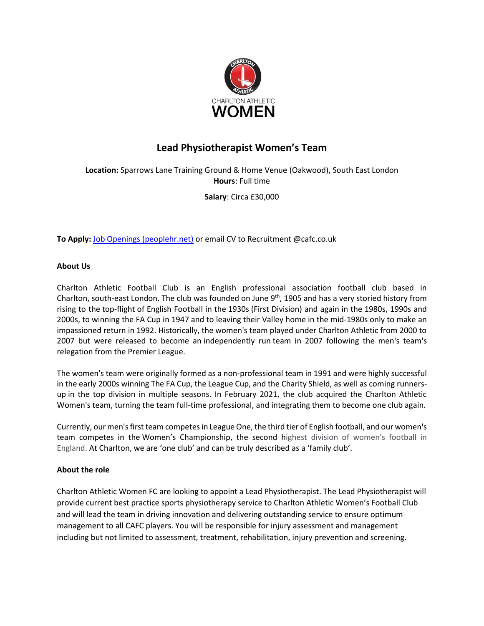

# **Lead Physiotherapist Women's Team**

**Location:** Sparrows Lane Training Ground & Home Venue (Oakwood), South East London **Hours**: Full time

**Salary**: Circa £30,000

**To Apply:** [Job Openings \(peoplehr.net\)](https://cafc.peoplehr.net/Pages/JobBoard/Opening.aspx?v=a102e2d2-5f85-440a-9a27-49e1ee3305cf) or email CV to Recruitment @cafc.co.uk

#### **About Us**

Charlton Athletic Football Club is an English professional association football club based in Charlton, south-east London. The club was founded on June 9<sup>th</sup>, 1905 and has a very storied history from rising to the top-flight of English Football in the 1930s (First Division) and again in the 1980s, 1990s and 2000s, to winning the FA Cup in 1947 and to leaving their Valley home in the mid-1980s only to make an impassioned return in 1992. Historically, the women's team played under Charlton Athletic from 2000 to 2007 but were released to become an independently run team in 2007 following the men's team's relegation from the Premier League.

The women's team were originally formed as a non-professional team in 1991 and were highly successful in the early 2000s winning The FA Cup, the League Cup, and the Charity Shield, as well as coming runnersup in the top division in multiple seasons. In February 2021, the club acquired the Charlton Athletic Women's team, turning the team full-time professional, and integrating them to become one club again.

Currently, our men's first team competes in League One, the third tier of English football, and our women's team competes in the Women's Championship, the second highest division of women's football in England. At Charlton, we are 'one club' and can be truly described as a 'family club'.

#### **About the role**

Charlton Athletic Women FC are looking to appoint a Lead Physiotherapist. The Lead Physiotherapist will provide current best practice sports physiotherapy service to Charlton Athletic Women's Football Club and will lead the team in driving innovation and delivering outstanding service to ensure optimum management to all CAFC players. You will be responsible for injury assessment and management including but not limited to assessment, treatment, rehabilitation, injury prevention and screening.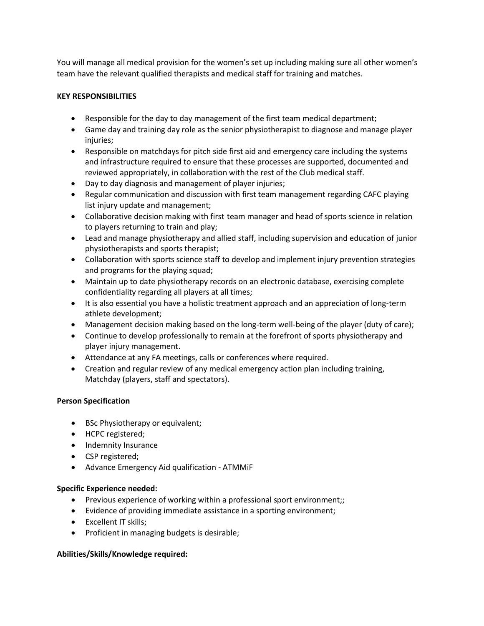You will manage all medical provision for the women's set up including making sure all other women's team have the relevant qualified therapists and medical staff for training and matches.

### **KEY RESPONSIBILITIES**

- Responsible for the day to day management of the first team medical department;
- Game day and training day role as the senior physiotherapist to diagnose and manage player injuries;
- Responsible on matchdays for pitch side first aid and emergency care including the systems and infrastructure required to ensure that these processes are supported, documented and reviewed appropriately, in collaboration with the rest of the Club medical staff.
- Day to day diagnosis and management of player injuries;
- Regular communication and discussion with first team management regarding CAFC playing list injury update and management;
- Collaborative decision making with first team manager and head of sports science in relation to players returning to train and play;
- Lead and manage physiotherapy and allied staff, including supervision and education of junior physiotherapists and sports therapist;
- Collaboration with sports science staff to develop and implement injury prevention strategies and programs for the playing squad;
- Maintain up to date physiotherapy records on an electronic database, exercising complete confidentiality regarding all players at all times;
- It is also essential you have a holistic treatment approach and an appreciation of long-term athlete development;
- Management decision making based on the long-term well-being of the player (duty of care);
- Continue to develop professionally to remain at the forefront of sports physiotherapy and player injury management.
- Attendance at any FA meetings, calls or conferences where required.
- Creation and regular review of any medical emergency action plan including training, Matchday (players, staff and spectators).

# **Person Specification**

- BSc Physiotherapy or equivalent;
- HCPC registered;
- Indemnity Insurance
- CSP registered;
- Advance Emergency Aid qualification ATMMiF

# **Specific Experience needed:**

- Previous experience of working within a professional sport environment;;
- Evidence of providing immediate assistance in a sporting environment;
- Excellent IT skills;
- Proficient in managing budgets is desirable;

# **Abilities/Skills/Knowledge required:**